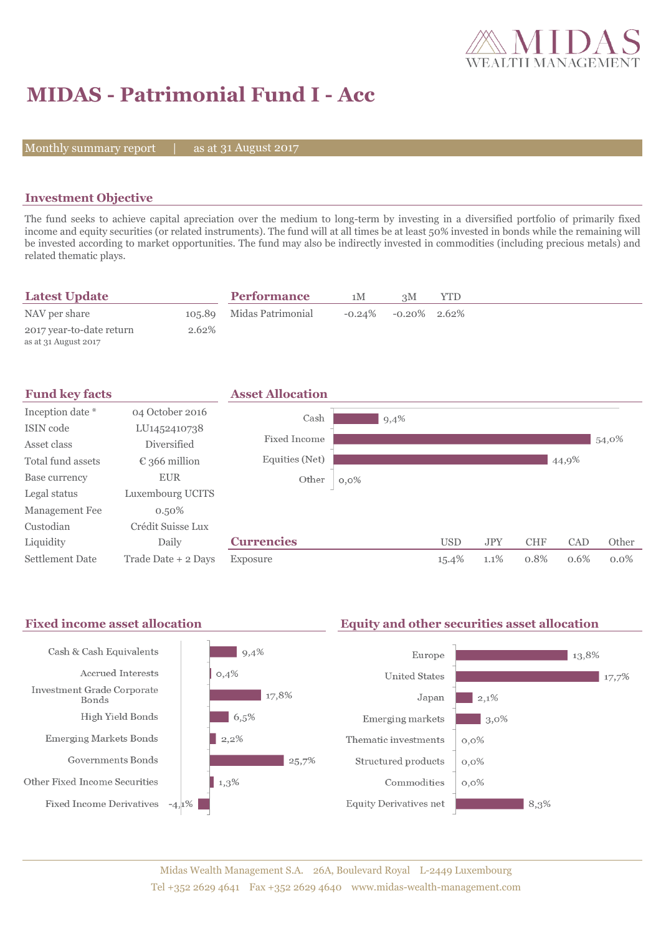

# **MIDAS - Patrimonial Fund I - Acc**

Monthly summary report  $|$ 

as at 31 August 2017

## **Investment Objective**

The fund seeks to achieve capital apreciation over the medium to long-term by investing in a diversified portfolio of primarily fixed income and equity securities (or related instruments). The fund will at all times be at least 50% invested in bonds while the remaining will be invested according to market opportunities. The fund may also be indirectly invested in commodities (including precious metals) and related thematic plays.

| <b>Latest Update</b>                             |       | <b>Performance</b>       | 1M | зM                        | <b>YTD</b> |  |
|--------------------------------------------------|-------|--------------------------|----|---------------------------|------------|--|
| NAV per share                                    |       | 105.89 Midas Patrimonial |    | $-0.24\%$ $-0.20\%$ 2.62% |            |  |
| 2017 year-to-date return<br>as at 31 August 2017 | 2.62% |                          |    |                           |            |  |



#### Fixed income asset allocation **Equity and other securities asset allocation** Cash & Cash Equivalents  $9,4%$ Europe  $13,8%$  $0,4%$ **Accrued Interests United States** 17,7% Investment Grade Corporate  $\frac{17,8\%}{ }$  $2,1%$ Japan Bonds High Yield Bonds  $6,5%$ Emerging markets  $3,0\%$ **Emerging Markets Bonds**  $2,2%$ Thematic investments  $0,0\%$ Governments Bonds  $25.7%$ Structured products  $0,0\%$ Other Fixed Income Securities  $\parallel$  1,3% Commodities  $0,0\%$ **Fixed Income Derivatives**  $-4,1\%$ **Equity Derivatives net**  $8.3%$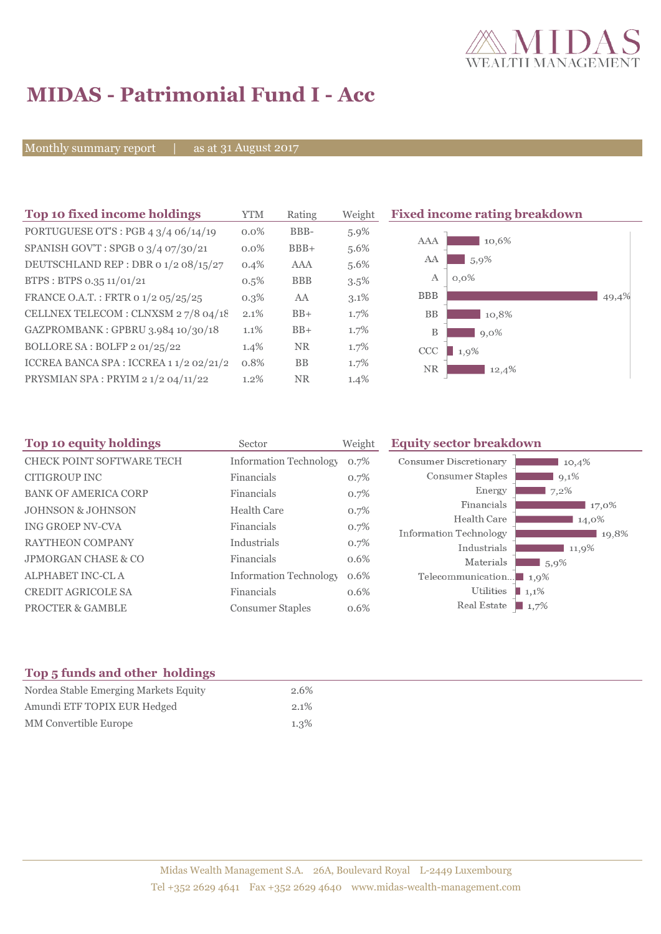

# **MIDAS - Patrimonial Fund I - Acc**

Monthly summary report | as at 31 August 2017

| Top 10 fixed income holdings                   | <b>YTM</b> | Rating     | Weight  | <b>Fixed income rating breakdown</b> |       |
|------------------------------------------------|------------|------------|---------|--------------------------------------|-------|
| PORTUGUESE OT'S : PGB $4 \frac{3}{4}$ 06/14/19 | $0.0\%$    | BBB-       | $5.9\%$ |                                      |       |
| SPANISH GOV'T: SPGB 0 3/4 07/30/21             | $0.0\%$    | $BBB+$     | 5.6%    | 10,6%<br>AAA                         |       |
| DEUTSCHLAND REP : DBR 0 1/2 08/15/27           | 0.4%       | AAA        | 5.6%    | AA<br>5,9%                           |       |
| BTPS : BTPS 0.35 $11/01/21$                    | $0.5\%$    | <b>BBB</b> | $3.5\%$ | Α<br>$0.0\%$                         |       |
| FRANCE O.A.T.: FRTR 0 1/2 05/25/25             | $0.3\%$    | AA         | $3.1\%$ | <b>BBB</b>                           | 49,4% |
| CELLNEX TELECOM : CLNXSM 27/8 04/18            | $2.1\%$    | $BB+$      | $1.7\%$ | <b>BB</b><br>10,8%                   |       |
| GAZPROMBANK: GPBRU 3.984 10/30/18              | 1.1%       | $BB+$      | $1.7\%$ | B<br>$9,0\%$                         |       |
| BOLLORE SA: BOLFP 2 01/25/22                   | 1.4%       | <b>NR</b>  | $1.7\%$ | CCC<br>1.9%                          |       |
| ICCREA BANCA SPA : ICCREA 1 1/2 02/21/2        | 0.8%       | <b>BB</b>  | $1.7\%$ | NR<br>12,4%                          |       |
| PRYSMIAN SPA : PRYIM 2 1/2 04/11/22            | 1.2%       | <b>NR</b>  | 1.4%    |                                      |       |

| Top 10 equity holdings           | Sector                        | Weight | <b>Equity sector breakdown</b>        |          |
|----------------------------------|-------------------------------|--------|---------------------------------------|----------|
| <b>CHECK POINT SOFTWARE TECH</b> | <b>Information Technology</b> | 0.7%   | Consumer Discretionary                | 10,4%    |
| CITIGROUP INC                    | Financials                    | 0.7%   | Consumer Staples                      | $9,1\%$  |
| <b>BANK OF AMERICA CORP</b>      | Financials                    | 0.7%   | Energy                                | 7,2%     |
| <b>JOHNSON &amp; JOHNSON</b>     | <b>Health Care</b>            | 0.7%   | Financials                            | 17,0%    |
| ING GROEP NV-CVA                 | Financials                    | 0.7%   | Health Care                           | 14,0%    |
| <b>RAYTHEON COMPANY</b>          | Industrials                   |        | Information Technology                | 19,8%    |
|                                  |                               | 0.7%   | Industrials                           | 11,9%    |
| <b>JPMORGAN CHASE &amp; CO</b>   | Financials                    | 0.6%   | Materials                             | $15,9\%$ |
| ALPHABET INC-CLA                 | <b>Information Technology</b> | 0.6%   | Telecommunication $\blacksquare$ 1,9% |          |
| <b>CREDIT AGRICOLE SA</b>        | Financials                    | 0.6%   | Utilities<br>1,1%                     |          |
| <b>PROCTER &amp; GAMBLE</b>      | <b>Consumer Staples</b>       | 0.6%   | Real Estate<br>$\blacksquare$ 1,7%    |          |

# **Top 5 funds and other holdings**

| Nordea Stable Emerging Markets Equity | 2.6%    |
|---------------------------------------|---------|
| Amundi ETF TOPIX EUR Hedged           | $2.1\%$ |
| MM Convertible Europe                 | $1.3\%$ |